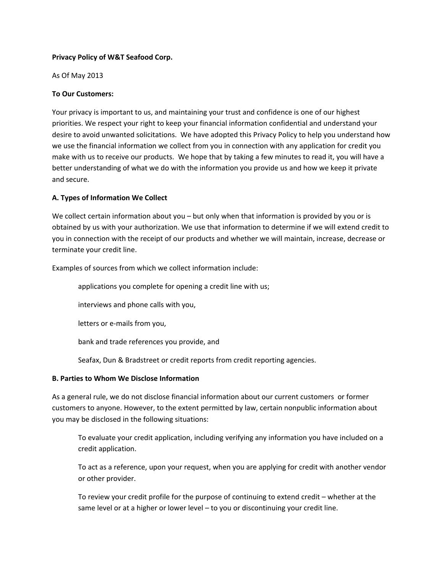### **Privacy Policy of W&T Seafood Corp.**

As Of May 2013

# **To Our Customers:**

Your privacy is important to us, and maintaining your trust and confidence is one of our highest priorities. We respect your right to keep your financial information confidential and understand your desire to avoid unwanted solicitations. We have adopted this Privacy Policy to help you understand how we use the financial information we collect from you in connection with any application for credit you make with us to receive our products. We hope that by taking a few minutes to read it, you will have a better understanding of what we do with the information you provide us and how we keep it private and secure.

## **A. Types of Information We Collect**

We collect certain information about you – but only when that information is provided by you or is obtained by us with your authorization. We use that information to determine if we will extend credit to you in connection with the receipt of our products and whether we will maintain, increase, decrease or terminate your credit line.

Examples of sources from which we collect information include:

applications you complete for opening a credit line with us;

interviews and phone calls with you,

letters or e-mails from you,

bank and trade references you provide, and

Seafax, Dun & Bradstreet or credit reports from credit reporting agencies.

### **B. Parties to Whom We Disclose Information**

As a general rule, we do not disclose financial information about our current customers or former customers to anyone. However, to the extent permitted by law, certain nonpublic information about you may be disclosed in the following situations:

To evaluate your credit application, including verifying any information you have included on a credit application.

To act as a reference, upon your request, when you are applying for credit with another vendor or other provider.

To review your credit profile for the purpose of continuing to extend credit – whether at the same level or at a higher or lower level – to you or discontinuing your credit line.